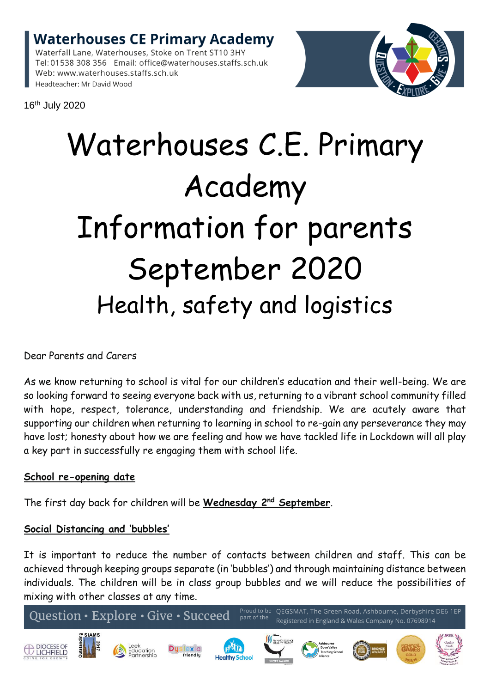**Waterhouses CE Primary Academy** Waterfall Lane, Waterhouses, Stoke on Trent ST10 3HY

Tel: 01538 308 356 Email: office@waterhouses.staffs.sch.uk Web: www.waterhouses.staffs.sch.uk Headteacher: Mr David Wood



16th July 2020

# Waterhouses C.E. Primary Academy Information for parents September 2020 Health, safety and logistics

Dear Parents and Carers

As we know returning to school is vital for our children's education and their well-being. We are so looking forward to seeing everyone back with us, returning to a vibrant school community filled with hope, respect, tolerance, understanding and friendship. We are acutely aware that supporting our children when returning to learning in school to re-gain any perseverance they may have lost; honesty about how we are feeling and how we have tackled life in Lockdown will all play a key part in successfully re engaging them with school life.

# **School re-opening date**

The first day back for children will be **Wednesday 2 nd September**.

## **Social Distancing and 'bubbles'**

It is important to reduce the number of contacts between children and staff. This can be achieved through keeping groups separate (in 'bubbles') and through maintaining distance between individuals. The children will be in class group bubbles and we will reduce the possibilities of mixing with other classes at any time.

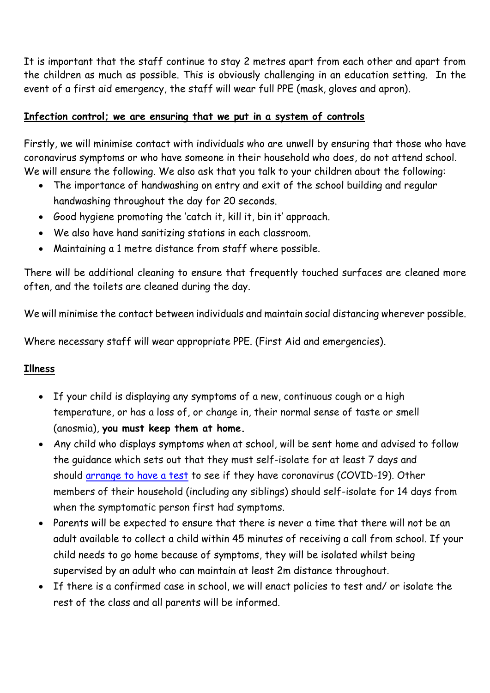It is important that the staff continue to stay 2 metres apart from each other and apart from the children as much as possible. This is obviously challenging in an education setting. In the event of a first aid emergency, the staff will wear full PPE (mask, gloves and apron).

## **Infection control; we are ensuring that we put in a system of controls**

Firstly, we will minimise contact with individuals who are unwell by ensuring that those who have coronavirus symptoms or who have someone in their household who does, do not attend school. We will ensure the following. We also ask that you talk to your children about the following:

- The importance of handwashing on entry and exit of the school building and regular handwashing throughout the day for 20 seconds.
- Good hygiene promoting the 'catch it, kill it, bin it' approach.
- We also have hand sanitizing stations in each classroom.
- Maintaining a 1 metre distance from staff where possible.

There will be additional cleaning to ensure that frequently touched surfaces are cleaned more often, and the toilets are cleaned during the day.

We will minimise the contact between individuals and maintain social distancing wherever possible.

Where necessary staff will wear appropriate PPE. (First Aid and emergencies).

# **Illness**

- If your child is displaying any symptoms of a new, continuous cough or a high temperature, or has a loss of, or change in, their normal sense of taste or smell (anosmia), **you must keep them at home.**
- Any child who displays symptoms when at school, will be sent home and advised to follow the guidance which sets out that they must self-isolate for at least 7 days and should [arrange](https://www.gov.uk/guidance/coronavirus-covid-19-getting-tested) to have a test to see if they have coronavirus (COVID-19). Other members of their household (including any siblings) should self-isolate for 14 days from when the symptomatic person first had symptoms.
- Parents will be expected to ensure that there is never a time that there will not be an adult available to collect a child within 45 minutes of receiving a call from school. If your child needs to go home because of symptoms, they will be isolated whilst being supervised by an adult who can maintain at least 2m distance throughout.
- If there is a confirmed case in school, we will enact policies to test and/ or isolate the rest of the class and all parents will be informed.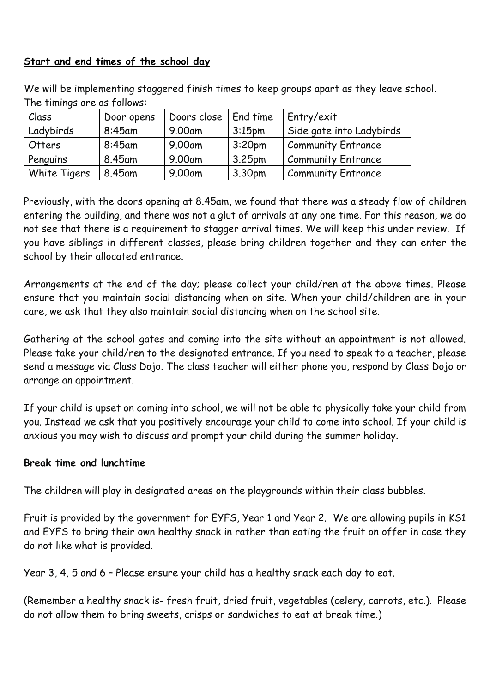## **Start and end times of the school day**

We will be implementing staggered finish times to keep groups apart as they leave school. The timings are as follows:

| Class        | Door opens | Doors close | End time           | Entry/exit                |
|--------------|------------|-------------|--------------------|---------------------------|
| Ladybirds    | $8:45$ am  | 9.00am      | 3:15 <sub>pm</sub> | Side gate into Ladybirds  |
| Otters       | $8:45$ am  | 9.00am      | 3:20 <sub>pm</sub> | <b>Community Entrance</b> |
| Penguins     | 8.45am     | 9.00am      | 3.25pm             | <b>Community Entrance</b> |
| White Tigers | 8.45am     | 9.00am      | 3.30pm             | <b>Community Entrance</b> |

Previously, with the doors opening at 8.45am, we found that there was a steady flow of children entering the building, and there was not a glut of arrivals at any one time. For this reason, we do not see that there is a requirement to stagger arrival times. We will keep this under review. If you have siblings in different classes, please bring children together and they can enter the school by their allocated entrance.

Arrangements at the end of the day; please collect your child/ren at the above times. Please ensure that you maintain social distancing when on site. When your child/children are in your care, we ask that they also maintain social distancing when on the school site.

Gathering at the school gates and coming into the site without an appointment is not allowed. Please take your child/ren to the designated entrance. If you need to speak to a teacher, please send a message via Class Dojo. The class teacher will either phone you, respond by Class Dojo or arrange an appointment.

If your child is upset on coming into school, we will not be able to physically take your child from you. Instead we ask that you positively encourage your child to come into school. If your child is anxious you may wish to discuss and prompt your child during the summer holiday.

#### **Break time and lunchtime**

The children will play in designated areas on the playgrounds within their class bubbles.

Fruit is provided by the government for EYFS, Year 1 and Year 2. We are allowing pupils in KS1 and EYFS to bring their own healthy snack in rather than eating the fruit on offer in case they do not like what is provided.

Year 3, 4, 5 and 6 – Please ensure your child has a healthy snack each day to eat.

(Remember a healthy snack is- fresh fruit, dried fruit, vegetables (celery, carrots, etc.). Please do not allow them to bring sweets, crisps or sandwiches to eat at break time.)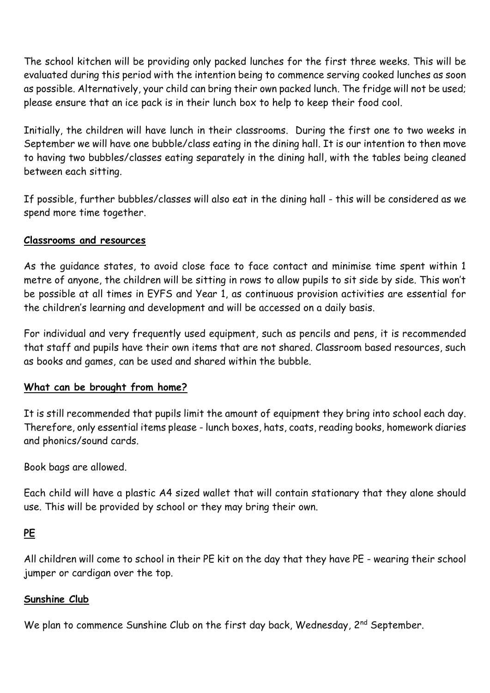The school kitchen will be providing only packed lunches for the first three weeks. This will be evaluated during this period with the intention being to commence serving cooked lunches as soon as possible. Alternatively, your child can bring their own packed lunch. The fridge will not be used; please ensure that an ice pack is in their lunch box to help to keep their food cool.

Initially, the children will have lunch in their classrooms. During the first one to two weeks in September we will have one bubble/class eating in the dining hall. It is our intention to then move to having two bubbles/classes eating separately in the dining hall, with the tables being cleaned between each sitting.

If possible, further bubbles/classes will also eat in the dining hall - this will be considered as we spend more time together.

## **Classrooms and resources**

As the guidance states, to avoid close face to face contact and minimise time spent within 1 metre of anyone, the children will be sitting in rows to allow pupils to sit side by side. This won't be possible at all times in EYFS and Year 1, as continuous provision activities are essential for the children's learning and development and will be accessed on a daily basis.

For individual and very frequently used equipment, such as pencils and pens, it is recommended that staff and pupils have their own items that are not shared. Classroom based resources, such as books and games, can be used and shared within the bubble.

#### **What can be brought from home?**

It is still recommended that pupils limit the amount of equipment they bring into school each day. Therefore, only essential items please - lunch boxes, hats, coats, reading books, homework diaries and phonics/sound cards.

Book bags are allowed.

Each child will have a plastic A4 sized wallet that will contain stationary that they alone should use. This will be provided by school or they may bring their own.

## **PE**

All children will come to school in their PE kit on the day that they have PE - wearing their school jumper or cardigan over the top.

#### **Sunshine Club**

We plan to commence Sunshine Club on the first day back, Wednesday, 2<sup>nd</sup> September.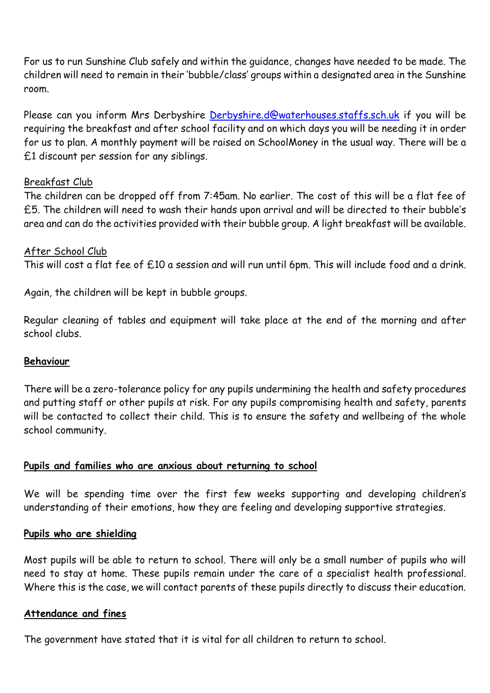For us to run Sunshine Club safely and within the guidance, changes have needed to be made. The children will need to remain in their 'bubble/class' groups within a designated area in the Sunshine room.

Please can you inform Mrs Derbyshire [Derbyshire.d@waterhouses.staffs.sch.uk](mailto:Derbyshire.d@waterhouses.staffs.sch.uk) if you will be requiring the breakfast and after school facility and on which days you will be needing it in order for us to plan. A monthly payment will be raised on SchoolMoney in the usual way. There will be a £1 discount per session for any siblings.

#### Breakfast Club

The children can be dropped off from 7:45am. No earlier. The cost of this will be a flat fee of £5. The children will need to wash their hands upon arrival and will be directed to their bubble's area and can do the activities provided with their bubble group. A light breakfast will be available.

#### After School Club

This will cost a flat fee of £10 a session and will run until 6pm. This will include food and a drink.

Again, the children will be kept in bubble groups.

Regular cleaning of tables and equipment will take place at the end of the morning and after school clubs.

## **Behaviour**

There will be a zero-tolerance policy for any pupils undermining the health and safety procedures and putting staff or other pupils at risk. For any pupils compromising health and safety, parents will be contacted to collect their child. This is to ensure the safety and wellbeing of the whole school community.

## **Pupils and families who are anxious about returning to school**

We will be spending time over the first few weeks supporting and developing children's understanding of their emotions, how they are feeling and developing supportive strategies.

#### **Pupils who are shielding**

Most pupils will be able to return to school. There will only be a small number of pupils who will need to stay at home. These pupils remain under the care of a specialist health professional. Where this is the case, we will contact parents of these pupils directly to discuss their education.

#### **Attendance and fines**

The government have stated that it is vital for all children to return to school.